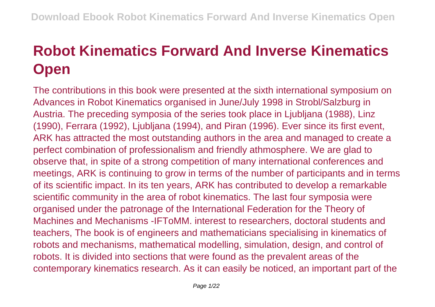## **Robot Kinematics Forward And Inverse Kinematics Open**

The contributions in this book were presented at the sixth international symposium on Advances in Robot Kinematics organised in June/July 1998 in Strobl/Salzburg in Austria. The preceding symposia of the series took place in Ljubljana (1988), Linz (1990), Ferrara (1992), Ljubljana (1994), and Piran (1996). Ever since its first event, ARK has attracted the most outstanding authors in the area and managed to create a perfect combination of professionalism and friendly athmosphere. We are glad to observe that, in spite of a strong competition of many international conferences and meetings, ARK is continuing to grow in terms of the number of participants and in terms of its scientific impact. In its ten years, ARK has contributed to develop a remarkable scientific community in the area of robot kinematics. The last four symposia were organised under the patronage of the International Federation for the Theory of Machines and Mechanisms -IFToMM. interest to researchers, doctoral students and teachers, The book is of engineers and mathematicians specialising in kinematics of robots and mechanisms, mathematical modelling, simulation, design, and control of robots. It is divided into sections that were found as the prevalent areas of the contemporary kinematics research. As it can easily be noticed, an important part of the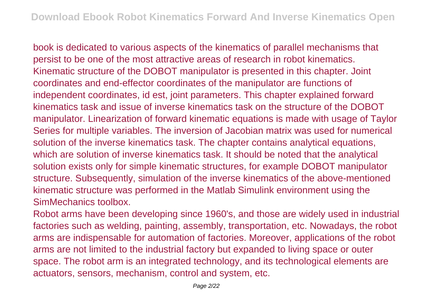book is dedicated to various aspects of the kinematics of parallel mechanisms that persist to be one of the most attractive areas of research in robot kinematics. Kinematic structure of the DOBOT manipulator is presented in this chapter. Joint coordinates and end-effector coordinates of the manipulator are functions of independent coordinates, id est, joint parameters. This chapter explained forward kinematics task and issue of inverse kinematics task on the structure of the DOBOT manipulator. Linearization of forward kinematic equations is made with usage of Taylor Series for multiple variables. The inversion of Jacobian matrix was used for numerical solution of the inverse kinematics task. The chapter contains analytical equations, which are solution of inverse kinematics task. It should be noted that the analytical solution exists only for simple kinematic structures, for example DOBOT manipulator structure. Subsequently, simulation of the inverse kinematics of the above-mentioned kinematic structure was performed in the Matlab Simulink environment using the SimMechanics toolbox.

Robot arms have been developing since 1960's, and those are widely used in industrial factories such as welding, painting, assembly, transportation, etc. Nowadays, the robot arms are indispensable for automation of factories. Moreover, applications of the robot arms are not limited to the industrial factory but expanded to living space or outer space. The robot arm is an integrated technology, and its technological elements are actuators, sensors, mechanism, control and system, etc.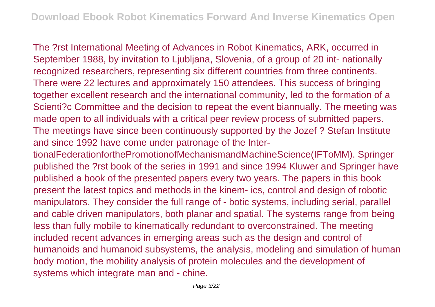The ?rst International Meeting of Advances in Robot Kinematics, ARK, occurred in September 1988, by invitation to Ljubljana, Slovenia, of a group of 20 int- nationally recognized researchers, representing six different countries from three continents. There were 22 lectures and approximately 150 attendees. This success of bringing together excellent research and the international community, led to the formation of a Scienti?c Committee and the decision to repeat the event biannually. The meeting was made open to all individuals with a critical peer review process of submitted papers. The meetings have since been continuously supported by the Jozef ? Stefan Institute and since 1992 have come under patronage of the Inter-

tionalFederationforthePromotionofMechanismandMachineScience(IFToMM). Springer published the ?rst book of the series in 1991 and since 1994 Kluwer and Springer have published a book of the presented papers every two years. The papers in this book present the latest topics and methods in the kinem- ics, control and design of robotic manipulators. They consider the full range of - botic systems, including serial, parallel and cable driven manipulators, both planar and spatial. The systems range from being less than fully mobile to kinematically redundant to overconstrained. The meeting included recent advances in emerging areas such as the design and control of humanoids and humanoid subsystems, the analysis, modeling and simulation of human body motion, the mobility analysis of protein molecules and the development of systems which integrate man and - chine.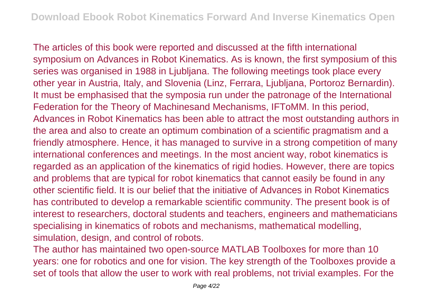The articles of this book were reported and discussed at the fifth international symposium on Advances in Robot Kinematics. As is known, the first symposium of this series was organised in 1988 in Ljubljana. The following meetings took place every other year in Austria, Italy, and Slovenia (Linz, Ferrara, Ljubljana, Portoroz Bernardin). It must be emphasised that the symposia run under the patronage of the International Federation for the Theory of Machinesand Mechanisms, IFToMM. In this period, Advances in Robot Kinematics has been able to attract the most outstanding authors in the area and also to create an optimum combination of a scientific pragmatism and a friendly atmosphere. Hence, it has managed to survive in a strong competition of many international conferences and meetings. In the most ancient way, robot kinematics is regarded as an application of the kinematics of rigid hodies. However, there are topics and problems that are typical for robot kinematics that cannot easily be found in any other scientific field. It is our belief that the initiative of Advances in Robot Kinematics has contributed to develop a remarkable scientific community. The present book is of interest to researchers, doctoral students and teachers, engineers and mathematicians specialising in kinematics of robots and mechanisms, mathematical modelling, simulation, design, and control of robots.

The author has maintained two open-source MATLAB Toolboxes for more than 10 years: one for robotics and one for vision. The key strength of the Toolboxes provide a set of tools that allow the user to work with real problems, not trivial examples. For the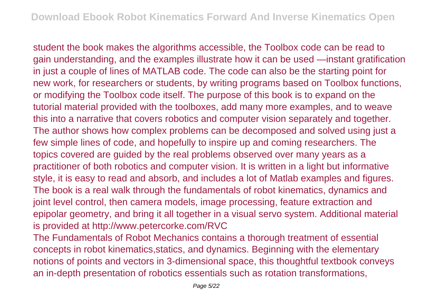student the book makes the algorithms accessible, the Toolbox code can be read to gain understanding, and the examples illustrate how it can be used —instant gratification in just a couple of lines of MATLAB code. The code can also be the starting point for new work, for researchers or students, by writing programs based on Toolbox functions, or modifying the Toolbox code itself. The purpose of this book is to expand on the tutorial material provided with the toolboxes, add many more examples, and to weave this into a narrative that covers robotics and computer vision separately and together. The author shows how complex problems can be decomposed and solved using just a few simple lines of code, and hopefully to inspire up and coming researchers. The topics covered are guided by the real problems observed over many years as a practitioner of both robotics and computer vision. It is written in a light but informative style, it is easy to read and absorb, and includes a lot of Matlab examples and figures. The book is a real walk through the fundamentals of robot kinematics, dynamics and joint level control, then camera models, image processing, feature extraction and epipolar geometry, and bring it all together in a visual servo system. Additional material is provided at http://www.petercorke.com/RVC

The Fundamentals of Robot Mechanics contains a thorough treatment of essential concepts in robot kinematics,statics, and dynamics. Beginning with the elementary notions of points and vectors in 3-dimensional space, this thoughtful textbook conveys an in-depth presentation of robotics essentials such as rotation transformations,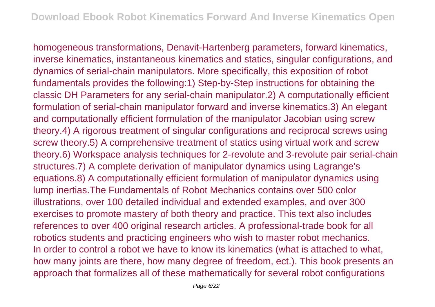homogeneous transformations, Denavit-Hartenberg parameters, forward kinematics, inverse kinematics, instantaneous kinematics and statics, singular configurations, and dynamics of serial-chain manipulators. More specifically, this exposition of robot fundamentals provides the following:1) Step-by-Step instructions for obtaining the classic DH Parameters for any serial-chain manipulator.2) A computationally efficient formulation of serial-chain manipulator forward and inverse kinematics.3) An elegant and computationally efficient formulation of the manipulator Jacobian using screw theory.4) A rigorous treatment of singular configurations and reciprocal screws using screw theory.5) A comprehensive treatment of statics using virtual work and screw theory.6) Workspace analysis techniques for 2-revolute and 3-revolute pair serial-chain structures.7) A complete derivation of manipulator dynamics using Lagrange's equations.8) A computationally efficient formulation of manipulator dynamics using lump inertias.The Fundamentals of Robot Mechanics contains over 500 color illustrations, over 100 detailed individual and extended examples, and over 300 exercises to promote mastery of both theory and practice. This text also includes references to over 400 original research articles. A professional-trade book for all robotics students and practicing engineers who wish to master robot mechanics. In order to control a robot we have to know its kinematics (what is attached to what, how many joints are there, how many degree of freedom, ect.). This book presents an approach that formalizes all of these mathematically for several robot configurations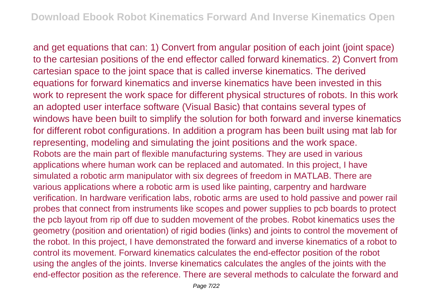and get equations that can: 1) Convert from angular position of each joint (joint space) to the cartesian positions of the end effector called forward kinematics. 2) Convert from cartesian space to the joint space that is called inverse kinematics. The derived equations for forward kinematics and inverse kinematics have been invested in this work to represent the work space for different physical structures of robots. In this work an adopted user interface software (Visual Basic) that contains several types of windows have been built to simplify the solution for both forward and inverse kinematics for different robot configurations. In addition a program has been built using mat lab for representing, modeling and simulating the joint positions and the work space. Robots are the main part of flexible manufacturing systems. They are used in various applications where human work can be replaced and automated. In this project, I have simulated a robotic arm manipulator with six degrees of freedom in MATLAB. There are various applications where a robotic arm is used like painting, carpentry and hardware verification. In hardware verification labs, robotic arms are used to hold passive and power rail probes that connect from instruments like scopes and power supplies to pcb boards to protect the pcb layout from rip off due to sudden movement of the probes. Robot kinematics uses the geometry (position and orientation) of rigid bodies (links) and joints to control the movement of the robot. In this project, I have demonstrated the forward and inverse kinematics of a robot to control its movement. Forward kinematics calculates the end-effector position of the robot using the angles of the joints. Inverse kinematics calculates the angles of the joints with the end-effector position as the reference. There are several methods to calculate the forward and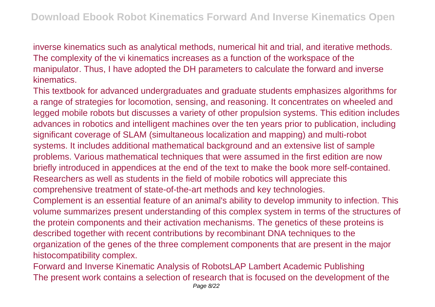inverse kinematics such as analytical methods, numerical hit and trial, and iterative methods. The complexity of the vi kinematics increases as a function of the workspace of the manipulator. Thus, I have adopted the DH parameters to calculate the forward and inverse kinematics.

This textbook for advanced undergraduates and graduate students emphasizes algorithms for a range of strategies for locomotion, sensing, and reasoning. It concentrates on wheeled and legged mobile robots but discusses a variety of other propulsion systems. This edition includes advances in robotics and intelligent machines over the ten years prior to publication, including significant coverage of SLAM (simultaneous localization and mapping) and multi-robot systems. It includes additional mathematical background and an extensive list of sample problems. Various mathematical techniques that were assumed in the first edition are now briefly introduced in appendices at the end of the text to make the book more self-contained. Researchers as well as students in the field of mobile robotics will appreciate this comprehensive treatment of state-of-the-art methods and key technologies. Complement is an essential feature of an animal's ability to develop immunity to infection. This volume summarizes present understanding of this complex system in terms of the structures of the protein components and their activation mechanisms. The genetics of these proteins is described together with recent contributions by recombinant DNA techniques to the organization of the genes of the three complement components that are present in the major histocompatibility complex.

Forward and Inverse Kinematic Analysis of RobotsLAP Lambert Academic Publishing The present work contains a selection of research that is focused on the development of the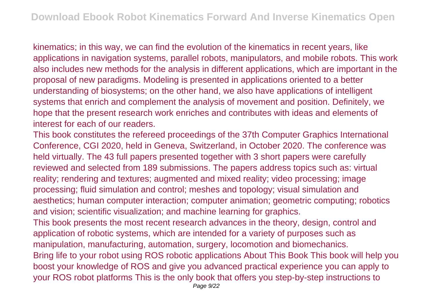kinematics; in this way, we can find the evolution of the kinematics in recent years, like applications in navigation systems, parallel robots, manipulators, and mobile robots. This work also includes new methods for the analysis in different applications, which are important in the proposal of new paradigms. Modeling is presented in applications oriented to a better understanding of biosystems; on the other hand, we also have applications of intelligent systems that enrich and complement the analysis of movement and position. Definitely, we hope that the present research work enriches and contributes with ideas and elements of interest for each of our readers.

This book constitutes the refereed proceedings of the 37th Computer Graphics International Conference, CGI 2020, held in Geneva, Switzerland, in October 2020. The conference was held virtually. The 43 full papers presented together with 3 short papers were carefully reviewed and selected from 189 submissions. The papers address topics such as: virtual reality; rendering and textures; augmented and mixed reality; video processing; image processing; fluid simulation and control; meshes and topology; visual simulation and aesthetics; human computer interaction; computer animation; geometric computing; robotics and vision; scientific visualization; and machine learning for graphics.

This book presents the most recent research advances in the theory, design, control and application of robotic systems, which are intended for a variety of purposes such as manipulation, manufacturing, automation, surgery, locomotion and biomechanics. Bring life to your robot using ROS robotic applications About This Book This book will help you boost your knowledge of ROS and give you advanced practical experience you can apply to your ROS robot platforms This is the only book that offers you step-by-step instructions to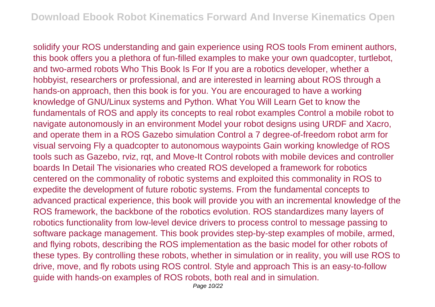solidify your ROS understanding and gain experience using ROS tools From eminent authors, this book offers you a plethora of fun-filled examples to make your own quadcopter, turtlebot, and two-armed robots Who This Book Is For If you are a robotics developer, whether a hobbyist, researchers or professional, and are interested in learning about ROS through a hands-on approach, then this book is for you. You are encouraged to have a working knowledge of GNU/Linux systems and Python. What You Will Learn Get to know the fundamentals of ROS and apply its concepts to real robot examples Control a mobile robot to navigate autonomously in an environment Model your robot designs using URDF and Xacro, and operate them in a ROS Gazebo simulation Control a 7 degree-of-freedom robot arm for visual servoing Fly a quadcopter to autonomous waypoints Gain working knowledge of ROS tools such as Gazebo, rviz, rqt, and Move-It Control robots with mobile devices and controller boards In Detail The visionaries who created ROS developed a framework for robotics centered on the commonality of robotic systems and exploited this commonality in ROS to expedite the development of future robotic systems. From the fundamental concepts to advanced practical experience, this book will provide you with an incremental knowledge of the ROS framework, the backbone of the robotics evolution. ROS standardizes many layers of robotics functionality from low-level device drivers to process control to message passing to software package management. This book provides step-by-step examples of mobile, armed, and flying robots, describing the ROS implementation as the basic model for other robots of these types. By controlling these robots, whether in simulation or in reality, you will use ROS to drive, move, and fly robots using ROS control. Style and approach This is an easy-to-follow guide with hands-on examples of ROS robots, both real and in simulation.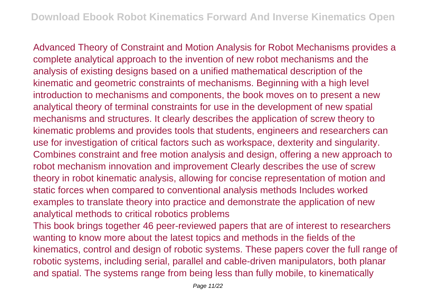Advanced Theory of Constraint and Motion Analysis for Robot Mechanisms provides a complete analytical approach to the invention of new robot mechanisms and the analysis of existing designs based on a unified mathematical description of the kinematic and geometric constraints of mechanisms. Beginning with a high level introduction to mechanisms and components, the book moves on to present a new analytical theory of terminal constraints for use in the development of new spatial mechanisms and structures. It clearly describes the application of screw theory to kinematic problems and provides tools that students, engineers and researchers can use for investigation of critical factors such as workspace, dexterity and singularity. Combines constraint and free motion analysis and design, offering a new approach to robot mechanism innovation and improvement Clearly describes the use of screw theory in robot kinematic analysis, allowing for concise representation of motion and static forces when compared to conventional analysis methods Includes worked examples to translate theory into practice and demonstrate the application of new analytical methods to critical robotics problems

This book brings together 46 peer-reviewed papers that are of interest to researchers wanting to know more about the latest topics and methods in the fields of the kinematics, control and design of robotic systems. These papers cover the full range of robotic systems, including serial, parallel and cable-driven manipulators, both planar and spatial. The systems range from being less than fully mobile, to kinematically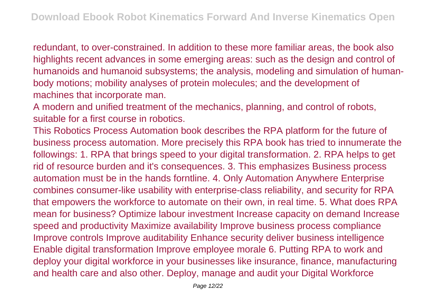redundant, to over-constrained. In addition to these more familiar areas, the book also highlights recent advances in some emerging areas: such as the design and control of humanoids and humanoid subsystems; the analysis, modeling and simulation of humanbody motions; mobility analyses of protein molecules; and the development of machines that incorporate man.

A modern and unified treatment of the mechanics, planning, and control of robots, suitable for a first course in robotics.

This Robotics Process Automation book describes the RPA platform for the future of business process automation. More precisely this RPA book has tried to innumerate the followings: 1. RPA that brings speed to your digital transformation. 2. RPA helps to get rid of resource burden and it's consequences. 3. This emphasizes Business process automation must be in the hands forntline. 4. Only Automation Anywhere Enterprise combines consumer-like usability with enterprise-class reliability, and security for RPA that empowers the workforce to automate on their own, in real time. 5. What does RPA mean for business? Optimize labour investment Increase capacity on demand Increase speed and productivity Maximize availability Improve business process compliance Improve controls Improve auditability Enhance security deliver business intelligence Enable digital transformation Improve employee morale 6. Putting RPA to work and deploy your digital workforce in your businesses like insurance, finance, manufacturing and health care and also other. Deploy, manage and audit your Digital Workforce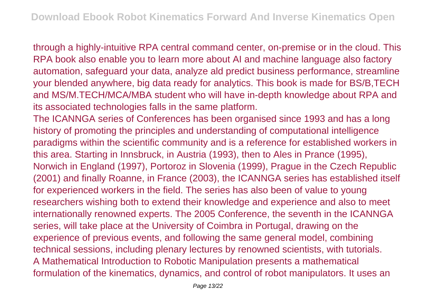through a highly-intuitive RPA central command center, on-premise or in the cloud. This RPA book also enable you to learn more about AI and machine language also factory automation, safeguard your data, analyze ald predict business performance, streamline your blended anywhere, big data ready for analytics. This book is made for BS/B,TECH and MS/M.TECH/MCA/MBA student who will have in-depth knowledge about RPA and its associated technologies falls in the same platform.

The ICANNGA series of Conferences has been organised since 1993 and has a long history of promoting the principles and understanding of computational intelligence paradigms within the scientific community and is a reference for established workers in this area. Starting in Innsbruck, in Austria (1993), then to Ales in Prance (1995), Norwich in England (1997), Portoroz in Slovenia (1999), Prague in the Czech Republic (2001) and finally Roanne, in France (2003), the ICANNGA series has established itself for experienced workers in the field. The series has also been of value to young researchers wishing both to extend their knowledge and experience and also to meet internationally renowned experts. The 2005 Conference, the seventh in the ICANNGA series, will take place at the University of Coimbra in Portugal, drawing on the experience of previous events, and following the same general model, combining technical sessions, including plenary lectures by renowned scientists, with tutorials. A Mathematical Introduction to Robotic Manipulation presents a mathematical formulation of the kinematics, dynamics, and control of robot manipulators. It uses an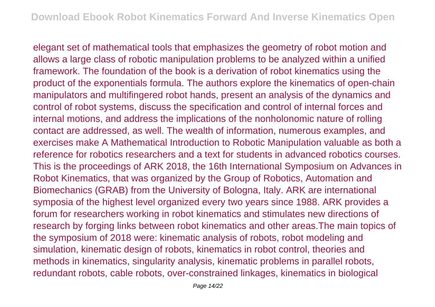elegant set of mathematical tools that emphasizes the geometry of robot motion and allows a large class of robotic manipulation problems to be analyzed within a unified framework. The foundation of the book is a derivation of robot kinematics using the product of the exponentials formula. The authors explore the kinematics of open-chain manipulators and multifingered robot hands, present an analysis of the dynamics and control of robot systems, discuss the specification and control of internal forces and internal motions, and address the implications of the nonholonomic nature of rolling contact are addressed, as well. The wealth of information, numerous examples, and exercises make A Mathematical Introduction to Robotic Manipulation valuable as both a reference for robotics researchers and a text for students in advanced robotics courses. This is the proceedings of ARK 2018, the 16th International Symposium on Advances in Robot Kinematics, that was organized by the Group of Robotics, Automation and Biomechanics (GRAB) from the University of Bologna, Italy. ARK are international symposia of the highest level organized every two years since 1988. ARK provides a forum for researchers working in robot kinematics and stimulates new directions of research by forging links between robot kinematics and other areas.The main topics of the symposium of 2018 were: kinematic analysis of robots, robot modeling and simulation, kinematic design of robots, kinematics in robot control, theories and methods in kinematics, singularity analysis, kinematic problems in parallel robots, redundant robots, cable robots, over-constrained linkages, kinematics in biological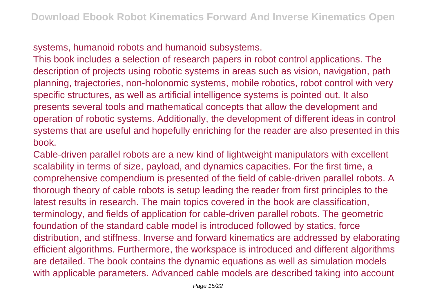systems, humanoid robots and humanoid subsystems.

This book includes a selection of research papers in robot control applications. The description of projects using robotic systems in areas such as vision, navigation, path planning, trajectories, non-holonomic systems, mobile robotics, robot control with very specific structures, as well as artificial intelligence systems is pointed out. It also presents several tools and mathematical concepts that allow the development and operation of robotic systems. Additionally, the development of different ideas in control systems that are useful and hopefully enriching for the reader are also presented in this book.

Cable-driven parallel robots are a new kind of lightweight manipulators with excellent scalability in terms of size, payload, and dynamics capacities. For the first time, a comprehensive compendium is presented of the field of cable-driven parallel robots. A thorough theory of cable robots is setup leading the reader from first principles to the latest results in research. The main topics covered in the book are classification, terminology, and fields of application for cable-driven parallel robots. The geometric foundation of the standard cable model is introduced followed by statics, force distribution, and stiffness. Inverse and forward kinematics are addressed by elaborating efficient algorithms. Furthermore, the workspace is introduced and different algorithms are detailed. The book contains the dynamic equations as well as simulation models with applicable parameters. Advanced cable models are described taking into account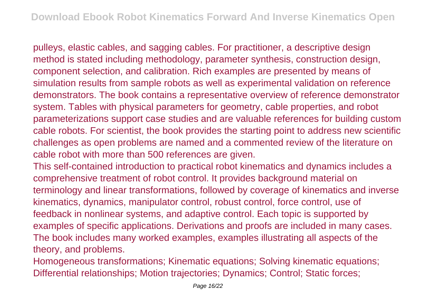pulleys, elastic cables, and sagging cables. For practitioner, a descriptive design method is stated including methodology, parameter synthesis, construction design, component selection, and calibration. Rich examples are presented by means of simulation results from sample robots as well as experimental validation on reference demonstrators. The book contains a representative overview of reference demonstrator system. Tables with physical parameters for geometry, cable properties, and robot parameterizations support case studies and are valuable references for building custom cable robots. For scientist, the book provides the starting point to address new scientific challenges as open problems are named and a commented review of the literature on cable robot with more than 500 references are given.

This self-contained introduction to practical robot kinematics and dynamics includes a comprehensive treatment of robot control. It provides background material on terminology and linear transformations, followed by coverage of kinematics and inverse kinematics, dynamics, manipulator control, robust control, force control, use of feedback in nonlinear systems, and adaptive control. Each topic is supported by examples of specific applications. Derivations and proofs are included in many cases. The book includes many worked examples, examples illustrating all aspects of the theory, and problems.

Homogeneous transformations; Kinematic equations; Solving kinematic equations; Differential relationships; Motion trajectories; Dynamics; Control; Static forces;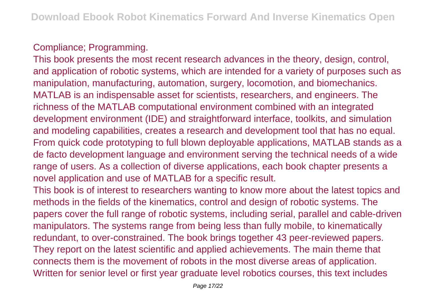## Compliance; Programming.

This book presents the most recent research advances in the theory, design, control, and application of robotic systems, which are intended for a variety of purposes such as manipulation, manufacturing, automation, surgery, locomotion, and biomechanics. MATLAB is an indispensable asset for scientists, researchers, and engineers. The richness of the MATLAB computational environment combined with an integrated development environment (IDE) and straightforward interface, toolkits, and simulation and modeling capabilities, creates a research and development tool that has no equal. From quick code prototyping to full blown deployable applications, MATLAB stands as a de facto development language and environment serving the technical needs of a wide range of users. As a collection of diverse applications, each book chapter presents a novel application and use of MATLAB for a specific result.

This book is of interest to researchers wanting to know more about the latest topics and methods in the fields of the kinematics, control and design of robotic systems. The papers cover the full range of robotic systems, including serial, parallel and cable-driven manipulators. The systems range from being less than fully mobile, to kinematically redundant, to over-constrained. The book brings together 43 peer-reviewed papers. They report on the latest scientific and applied achievements. The main theme that connects them is the movement of robots in the most diverse areas of application. Written for senior level or first year graduate level robotics courses, this text includes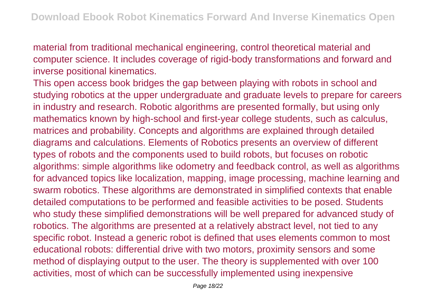material from traditional mechanical engineering, control theoretical material and computer science. It includes coverage of rigid-body transformations and forward and inverse positional kinematics.

This open access book bridges the gap between playing with robots in school and studying robotics at the upper undergraduate and graduate levels to prepare for careers in industry and research. Robotic algorithms are presented formally, but using only mathematics known by high-school and first-year college students, such as calculus, matrices and probability. Concepts and algorithms are explained through detailed diagrams and calculations. Elements of Robotics presents an overview of different types of robots and the components used to build robots, but focuses on robotic algorithms: simple algorithms like odometry and feedback control, as well as algorithms for advanced topics like localization, mapping, image processing, machine learning and swarm robotics. These algorithms are demonstrated in simplified contexts that enable detailed computations to be performed and feasible activities to be posed. Students who study these simplified demonstrations will be well prepared for advanced study of robotics. The algorithms are presented at a relatively abstract level, not tied to any specific robot. Instead a generic robot is defined that uses elements common to most educational robots: differential drive with two motors, proximity sensors and some method of displaying output to the user. The theory is supplemented with over 100 activities, most of which can be successfully implemented using inexpensive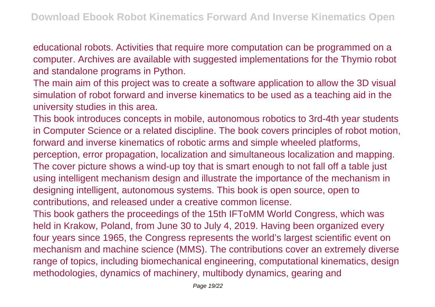educational robots. Activities that require more computation can be programmed on a computer. Archives are available with suggested implementations for the Thymio robot and standalone programs in Python.

The main aim of this project was to create a software application to allow the 3D visual simulation of robot forward and inverse kinematics to be used as a teaching aid in the university studies in this area.

This book introduces concepts in mobile, autonomous robotics to 3rd-4th year students in Computer Science or a related discipline. The book covers principles of robot motion, forward and inverse kinematics of robotic arms and simple wheeled platforms, perception, error propagation, localization and simultaneous localization and mapping. The cover picture shows a wind-up toy that is smart enough to not fall off a table just using intelligent mechanism design and illustrate the importance of the mechanism in designing intelligent, autonomous systems. This book is open source, open to contributions, and released under a creative common license. This book gathers the proceedings of the 15th IFToMM World Congress, which was held in Krakow, Poland, from June 30 to July 4, 2019. Having been organized every four years since 1965, the Congress represents the world's largest scientific event on mechanism and machine science (MMS). The contributions cover an extremely diverse range of topics, including biomechanical engineering, computational kinematics, design

methodologies, dynamics of machinery, multibody dynamics, gearing and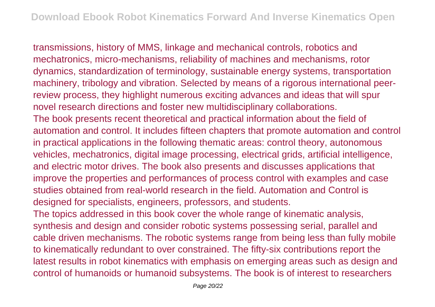transmissions, history of MMS, linkage and mechanical controls, robotics and mechatronics, micro-mechanisms, reliability of machines and mechanisms, rotor dynamics, standardization of terminology, sustainable energy systems, transportation machinery, tribology and vibration. Selected by means of a rigorous international peerreview process, they highlight numerous exciting advances and ideas that will spur novel research directions and foster new multidisciplinary collaborations. The book presents recent theoretical and practical information about the field of automation and control. It includes fifteen chapters that promote automation and control in practical applications in the following thematic areas: control theory, autonomous vehicles, mechatronics, digital image processing, electrical grids, artificial intelligence, and electric motor drives. The book also presents and discusses applications that improve the properties and performances of process control with examples and case studies obtained from real-world research in the field. Automation and Control is designed for specialists, engineers, professors, and students. The topics addressed in this book cover the whole range of kinematic analysis, synthesis and design and consider robotic systems possessing serial, parallel and cable driven mechanisms. The robotic systems range from being less than fully mobile to kinematically redundant to over constrained. The fifty-six contributions report the latest results in robot kinematics with emphasis on emerging areas such as design and control of humanoids or humanoid subsystems. The book is of interest to researchers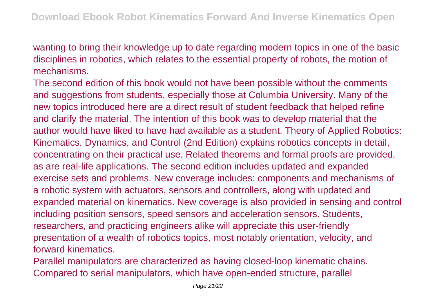wanting to bring their knowledge up to date regarding modern topics in one of the basic disciplines in robotics, which relates to the essential property of robots, the motion of mechanisms.

The second edition of this book would not have been possible without the comments and suggestions from students, especially those at Columbia University. Many of the new topics introduced here are a direct result of student feedback that helped refine and clarify the material. The intention of this book was to develop material that the author would have liked to have had available as a student. Theory of Applied Robotics: Kinematics, Dynamics, and Control (2nd Edition) explains robotics concepts in detail, concentrating on their practical use. Related theorems and formal proofs are provided, as are real-life applications. The second edition includes updated and expanded exercise sets and problems. New coverage includes: components and mechanisms of a robotic system with actuators, sensors and controllers, along with updated and expanded material on kinematics. New coverage is also provided in sensing and control including position sensors, speed sensors and acceleration sensors. Students, researchers, and practicing engineers alike will appreciate this user-friendly presentation of a wealth of robotics topics, most notably orientation, velocity, and forward kinematics.

Parallel manipulators are characterized as having closed-loop kinematic chains. Compared to serial manipulators, which have open-ended structure, parallel